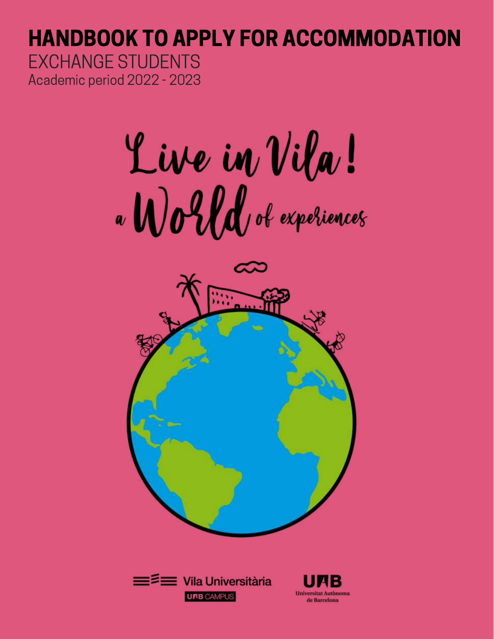### HANDBOOK TO APPLY FOR ACCOMMODATION Academic period 2022 - 2023 EXCHANGE STUDENTS

Live in Vila!





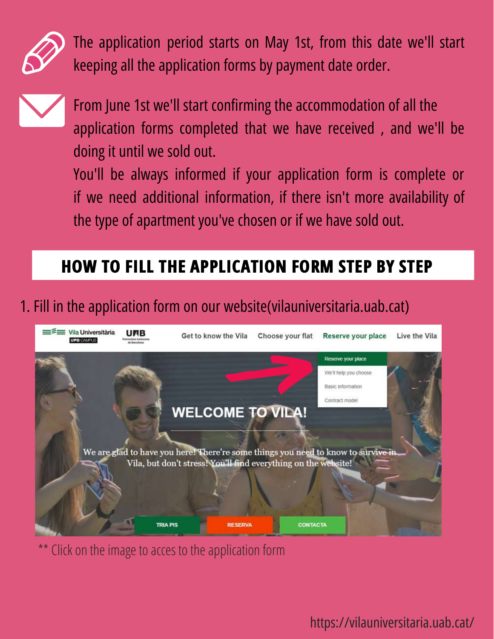

The application period starts on May 1st, from this date we'll start keeping all the application forms by payment date order.



From June 1st we'll start confirming the accommodation of all the application forms completed that we have received , and we'll be doing it until we sold out.

You'll be always informed if your application form is complete or if we need additional information, if there isn't more availability of the type of apartment you've chosen or if we have sold out.

### **HOW TO FILL THE APPLICATION FORM STEP BY STEP**

### 1. Fill in the application form on our website(vilauniversitaria.uab.cat)



Click on the image to acces to the application form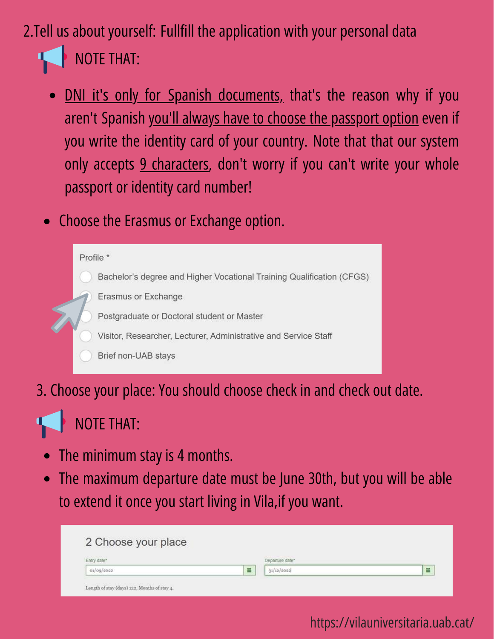#### 2.Tell us about yourself: Fullfill the application with your personal data  $\mathbf{L}$ NOTE THAT:

- DNI it's only for Spanish documents, that's the reason why if you  $\bullet$ aren't Spanish you'll always have to choose the passport option even if you write the identity card of your country. Note that that our system only accepts 9 characters, don't worry if you can't write your whole passport or identity card number!
- Choose the Erasmus or Exchange option.

#### Profile \*

Bachelor's degree and Higher Vocational Training Qualification (CFGS)

- Erasmus or Exchange
- Postgraduate or Doctoral student or Master
- Visitor, Researcher, Lecturer, Administrative and Service Staff
- Brief non-UAB stays
- 3. Choose your place: You should choose check in and check out date.

#### NOTE THAT:  $\mathbf{L}$

- The minimum stay is 4 months.
- The maximum departure date must be June 30th, but you will be able to extend it once you start living in Vila,if you want.

| 2 Choose your place |                 |   |
|---------------------|-----------------|---|
| Entry date          | Departure date* |   |
| 01/00/2000          | 31/12/2022      | 旨 |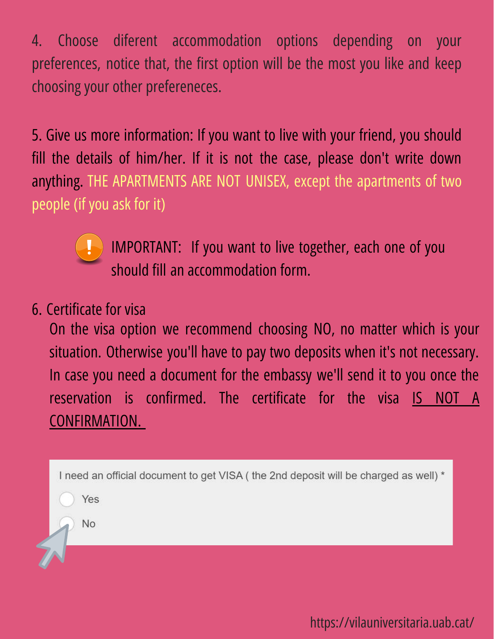4. Choose diferent accommodation options depending on your preferences, notice that, the first option will be the most you like and keep choosing your other prefereneces.

5. Give us more information: If you want to live with your friend, you should fill the details of him/her. If it is not the case, please don't write down anything. THE APARTMENTS ARE NOT UNISEX, except the apartments of two people (if you ask for it)



IMPORTANT: If you want to live together, each one of you should fill an accommodation form.

#### 6. Certificate for visa

On the visa option we recommend choosing NO, no matter which is your situation. Otherwise you'll have to pay two deposits when it's not necessary. In case you need a document for the embassy we'll send it to you once the reservation is confirmed. The certificate for the visa IS NOT A CONFIRMATION.

I need an official document to get VISA ( the 2nd deposit will be charged as well) \*

Yes

No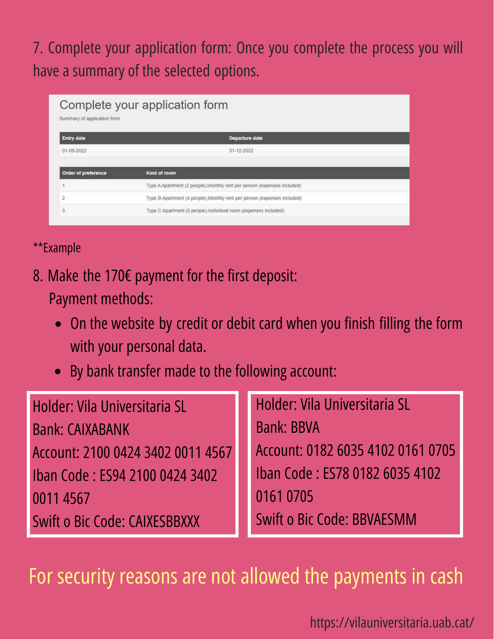### 7. Complete your application form: Once you complete the process you will have a summary of the selected options.

| Complete your application form<br>Summary of application form |                                                                          |  |  |  |  |
|---------------------------------------------------------------|--------------------------------------------------------------------------|--|--|--|--|
| <b>Entry date</b>                                             | Departure date                                                           |  |  |  |  |
| 01-09-2022                                                    | 31-12-2022                                                               |  |  |  |  |
|                                                               |                                                                          |  |  |  |  |
| Order of preference                                           | Kind of room                                                             |  |  |  |  |
|                                                               | Type A Apartment (2 people), Monthly rent per person (expenses included) |  |  |  |  |
| $\overline{2}$                                                | Type B Apartment (4 people) Monthly rent per person (expenses included)  |  |  |  |  |
| 3                                                             | Type C Apartment (5 people), individual room (expenses included)         |  |  |  |  |
|                                                               |                                                                          |  |  |  |  |

#### \*\*Example

- 8. Make the 170€ payment for the first deposit: Payment methods:
	- On the website by credit or debit card when you finish filling the form with your personal data.
	- By bank transfer made to the following account:  $\bullet$

| Holder: Vila Universitaria SL        | <b>Holder: Vila Universitaria SL</b> |
|--------------------------------------|--------------------------------------|
| <b>Bank: CAIXABANK</b>               | <b>Bank: BBVA</b>                    |
| Account: 2100 0424 3402 0011 4567    | Account: 0182 6035 4102 0161 0705    |
| Iban Code: ES94 2100 0424 3402       | Iban Code: ES78 0182 6035 4102       |
| 00114567                             | 0161 0705                            |
| <b>Swift o Bic Code: CAIXESBBXXX</b> | <b>Swift o Bic Code: BBVAESMM</b>    |

For security reasons are not allowed the payments in cash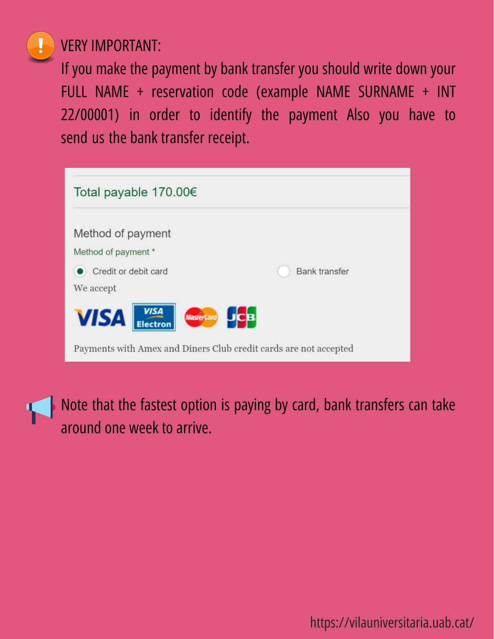

#### VERY IMPORTANT:

If you make the payment by bank transfer you should write down your FULL NAME + reservation code (example NAME SURNAME + INT 22/00001) in order to identify the payment Also you have to send us the bank transfer receipt.

| Total payable 170.00€                                            |                      |  |  |  |
|------------------------------------------------------------------|----------------------|--|--|--|
|                                                                  |                      |  |  |  |
| Method of payment                                                |                      |  |  |  |
| Method of payment *                                              |                      |  |  |  |
| Credit or debit card                                             | <b>Bank transfer</b> |  |  |  |
| We accept                                                        |                      |  |  |  |
| <b>VISA</b><br>Electron<br><b>VISA</b><br>MasterCard JCB         |                      |  |  |  |
| Payments with Amex and Diners Club credit cards are not accepted |                      |  |  |  |

Note that the fastest option is paying by card, bank transfers can take  $\mathcal{L}$ around one week to arrive.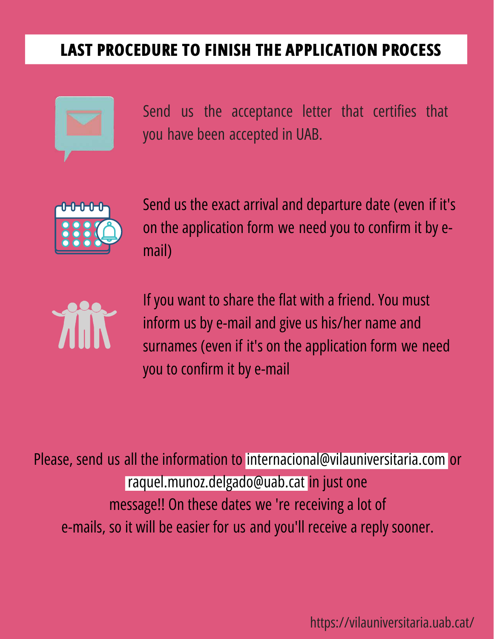### **LAST PROCEDURE TO FINISH THE APPLICATION PROCESS**



Send us the acceptance letter that certifies that you have been accepted in UAB.



Send us the exact arrival and departure date (even if it's on the application form we need you to confirm it by email)



If you want to share the flat with a friend. You must inform us by e-mail and give us his/her name and surnames (even if it's on the application form we need you to confirm it by e-mail

Please, send us all the information to internacional@vilauniversitaria.com or raquel.munoz.delgado@uab.cat in just one message!! On these dates we 're receiving a lot of e-mails, so it will be easier for us and you'll receive a reply sooner.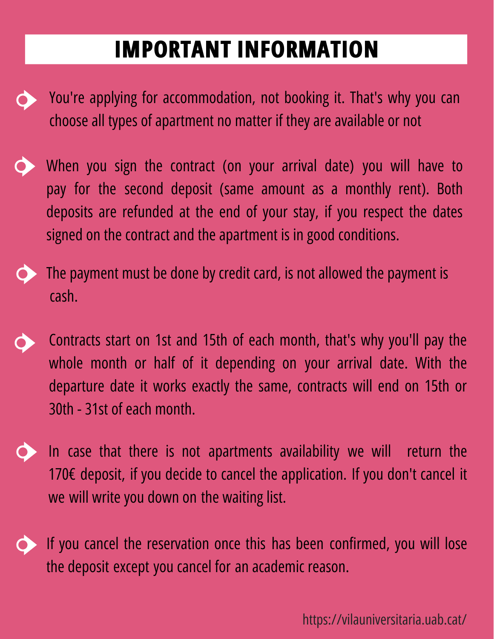## **IMPORTANT INFORMATION**

- You're applying for accommodation, not booking it. That's why you can choose all types of apartment no matter if they are available or not
- When you sign the contract (on your arrival date) you will have to pay for the second deposit (same amount as a monthly rent). Both deposits are refunded at the end of your stay, if you respect the dates signed on the contract and the apartment is in good conditions.
- The payment must be done by credit card, is not allowed the payment is cash.
- Contracts start on 1st and 15th of each month, that's why you'll pay the whole month or half of it depending on your arrival date. With the departure date it works exactly the same, contracts will end on 15th or 30th - 31st of each month.
- In case that there is not apartments availability we will return the 170€ deposit, if you decide to cancel the application. If you don't cancel it we will write you down on the waiting list.
- If you cancel the reservation once this has been confirmed, you will lose the deposit except you cancel for an academic reason.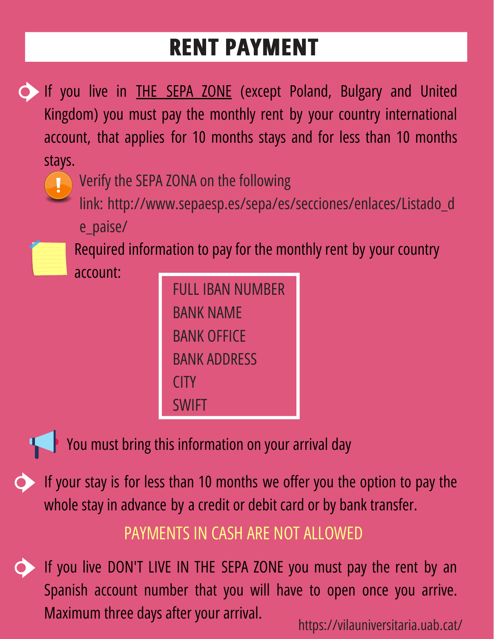# **RENT PAYMENT**

- If you live in **THE SEPA ZONE** (except Poland, Bulgary and United Kingdom) you must pay the monthly rent by your country international account, that applies for 10 months stays and for less than 10 months stays.
	-
- Verify the SEPA ZONA on the following
	- link: [http://www.sepaesp.es/sepa/es/secciones/enlaces/Listado\\_d](http://www.sepaesp.es/sepa/es/secciones/enlaces/Listado_de_paise/)
	- e\_paise/
		- Required information to pay for the monthly rent by your country
		- account:

| FULL IBAN NUMBER |  |  |  |  |
|------------------|--|--|--|--|
| BANK NAME        |  |  |  |  |
| BANK OFFICF      |  |  |  |  |
| BANK ADDRESS     |  |  |  |  |
| CITY             |  |  |  |  |
| <b>SWIFT</b>     |  |  |  |  |



You must bring this information on your arrival day

If your stay is for less than 10 months we offer you the option to pay the whole stay in advance by a credit or debit card or by bank transfer.

### PAYMENTS IN CASH ARE NOT ALLOWED

If you live DON'T LIVE IN THE SEPA ZONE you must pay the rent by an Spanish account number that you will have to open once you arrive. Maximum three days after your arrival.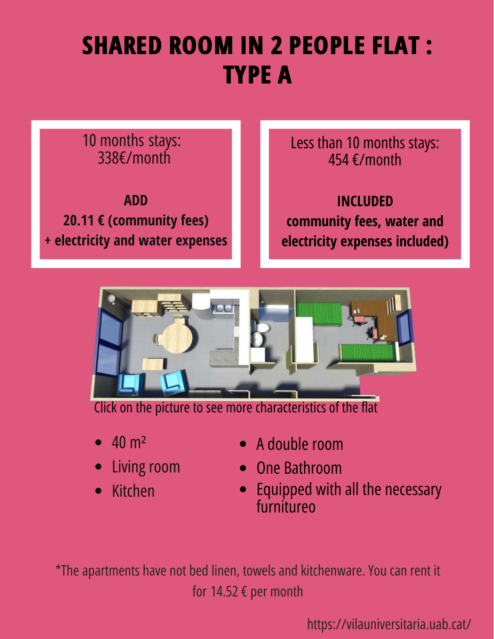# **SHARED ROOM IN 2 PEOPLE FLAT : TYPE A**

#### 10 months stays: 338€/month

**ADD 20.11 € (community fees) + electricity and water expenses** Less than 10 months stays: 454 €/month

**INCLUDED community fees, water and electricity expenses included)**



[Click on the picture to see more characteristics of the flat](https://vilauniversitaria.uab.cat/en/choose-your-flat/shared-room/#1454323965322-6d7230f4-508f)

- 40 m²
- Living room  $\bullet$
- Kitchen  $\bullet$
- A double room
- One Bathroom
- Equipped with all the necessary  $\bullet$ furnitureo

\*The apartments have not bed linen, towels and kitchenware. You can rent it for 14.52 € per month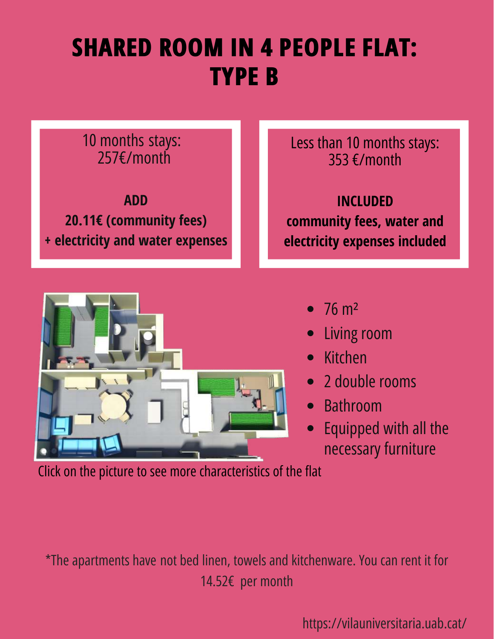# **SHARED ROOM IN 4 PEOPLE FLAT: TYPE B**

#### 10 months stays: 257€/month

**ADD 20.11€ (community fees) + electricity and water expenses** Less than 10 months stays: 353 €/month

**INCLUDED community fees, water and electricity expenses included**



- $\bullet$  76 m<sup>2</sup>
- Living room
- Kitchen  $\bullet$
- 2 double rooms  $\bullet$
- Bathroom  $\bullet$
- Equipped with all the necessary furniture

[Click on the picture to see more characteristics of the flat](https://vilauniversitaria.uab.cat/en/choose-your-flat/shared-room/#1449680718031-22158d52-2e9c2a94-062b)

\*The apartments have not bed linen, towels and kitchenware. You can rent it for 14.52€ per month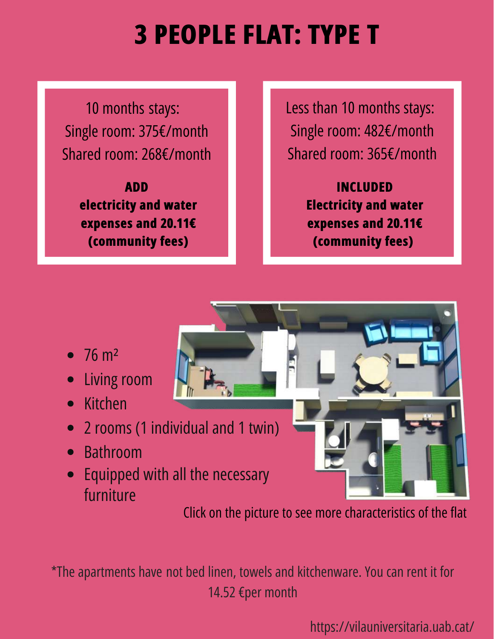# **3 PEOPLE FLAT: TYPE T**

10 months stays: Single room: 375€/month Shared room: 268€/month

> **ADD electricity and water expenses and 20.11€ (community fees)**

Less than 10 months stays: Single room: 482€/month Shared room: 365€/month

> **INCLUDED Electricity and water expenses and 20.11€ (community fees)**

- $\bullet$  76 m<sup>2</sup>
- Living room
- **Kitchen**  $\bullet$
- 2 rooms (1 individual and 1 twin)  $\bullet$
- Bathroom
- Equipped with all the necessary  $\bullet$ furniture

[Click on the picture to see more characteristics of the flat](https://vilauniversitaria.uab.cat/en/choose-your-flat/shared-room/#1454323882357-c4d44bd0-f4b4)

\*The apartments have not bed linen, towels and kitchenware. You can rent it for 14.52 €per month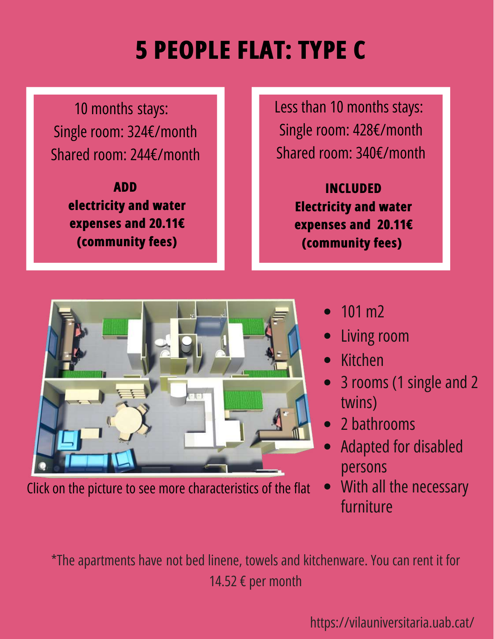# **5 PEOPLE FLAT: TYPE C**

10 months stays: Single room: 324€/month Shared room: 244€/month

> **ADD electricity and water expenses and 20.11€ (community fees)**

Less than 10 months stays: Single room: 428€/month Shared room: 340€/month

> **INCLUDED Electricity and water expenses and 20.11€ (community fees)**



[Click on the picture to see more characteristics of the flat](https://vilauniversitaria.uab.cat/en/choose-your-flat/shared-room/#1454323971176-653b7412-eacc)

- 101 m2  $\bullet$
- Living room
- Kitchen
- 3 rooms (1 single and 2 twins)
- 2 bathrooms
- Adapted for disabled persons
- With all the necessary furniture

\*The apartments have not bed linene, towels and kitchenware. You can rent it for 14.52 € per month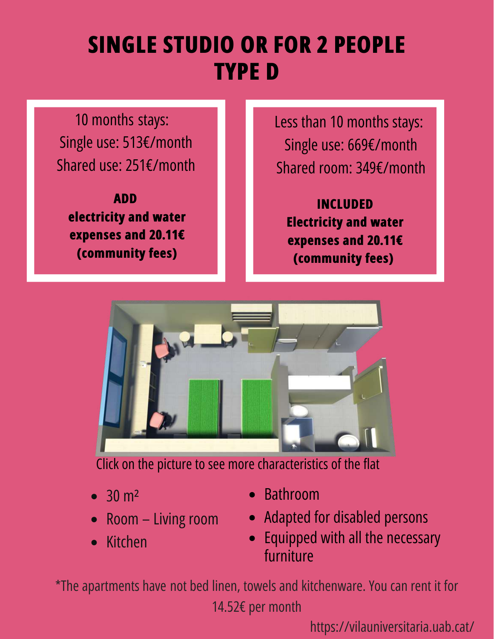## **SINGLE STUDIO OR FOR 2 PEOPLE TYPE D**

10 months stays: Single use: 513€/month Shared use: 251€/month

**ADD electricity and water expenses and 20.11€ (community fees)**

Less than 10 months stays: Single use: 669€/month Shared room: 349€/month

**INCLUDED Electricity and water expenses and 20.11€ (community fees)**



[Click on the picture to see more characteristics of the flat](https://vilauniversitaria.uab.cat/en/choose-your-flat/studios/)

- $\bullet$  30 m<sup>2</sup>
- Room Living room
- Kitchen  $\bullet$
- Bathroom
- Adapted for disabled persons
- Equipped with all the necessary furniture

\*The apartments have not bed linen, towels and kitchenware. You can rent it for 14.52€ per month